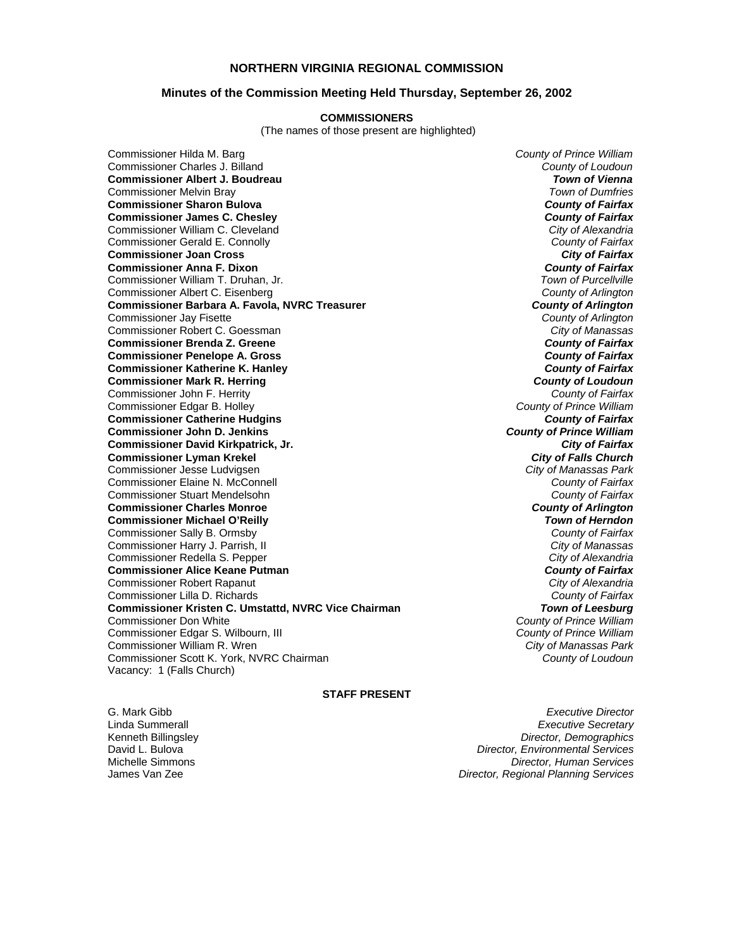### **NORTHERN VIRGINIA REGIONAL COMMISSION**

### **Minutes of the Commission Meeting Held Thursday, September 26, 2002**

#### **COMMISSIONERS**

(The names of those present are highlighted)

Commissioner Hilda M. Barg *County of Prince William* Commissioner Charles J. Billand *County of Loudoun* **Commissioner Albert J. Boudreau** *Town of Vienna* Commissioner Melvin Bray *Town of Dumfries* **Commissioner Sharon Bulova** *County of Fairfax* **Commissioner James C. Chesley** *County of Fairfax* Commissioner William C. Cleveland *City of Alexandria* Commissioner Gerald E. Connolly *County of Fairfax* **Commissioner Joan Cross** *City of Fairfax* **Commissioner Anna F. Dixon** *County of Fairfax* Commissioner William T. Druhan, Jr. *Town of Purcellville* Commissioner Albert C. Eisenberg *County of Arlington* **Commissioner Barbara A. Favola, NVRC Treasurer** *Commissioner Barbara A. Favola, NVRC Treasurer <b><i>County of Arlington*<br> *County of Arlington* Commissioner Jay Fisette *County of Arlington* Commissioner Robert C. Goessman *City of Manassas* **Commissioner Brenda Z. Greene** *County of Fairfax* **Commissioner Penelope A. Gross** *County of Fairfax* **Commissioner Katherine K. Hanley Commissioner Mark R. Herring** *County of Loudoun* Commissioner John F. Herrity *County of Fairfax* Commissioner Edgar B. Holley *County of Prince William* **Commissioner Catherine Hudgins** *County of Fairfax* **Commissioner John D. Jenkins** *County of Prince William* **Commissioner David Kirkpatrick, Jr.** *City of Fairfax* **Commissioner Lyman Krekel** *City of Falls Church* Commissioner Jesse Ludvigsen *City of Manassas Park* Commissioner Elaine N. McConnell *County of Fairfax* Commissioner Stuart Mendelsohn *County of Fairfax* **Commissioner Charles Monroe** *County of Arlington* **Commissioner Michael O'Reilly** *Town of Herndon* Commissioner Sally B. Ormsby *County of Fairfax* Commissioner Harry J. Parrish, II *City of Manassas* Commissioner Redella S. Pepper *City of Alexandria* **Commissioner Alice Keane Putman** *County of Fairfax* Commissioner Robert Rapanut *City of Alexandria* Commissioner Lilla D. Richards *County of Fairfax* **Commissioner Kristen C. Umstattd, NVRC Vice Chairman Commissioner Don White** Commissioner Edgar S. Wilbourn, III *County of Prince William* Commissioner William R. Wren *City of Manassas Park* Commissioner Scott K. York, NVRC Chairman *County of Loudoun* Vacancy: 1 (Falls Church)

**County of Prince William<br>County of Prince William** 

#### **STAFF PRESENT**

G. Mark Gibb *Executive Director* Linda Summerall *Executive Secretary* Kenneth Billingsley *Director, Demographics* David L. Bulova *Director, Environmental Services* Michelle Simmons *Director, Human Services* James Van Zee *Director, Regional Planning Services*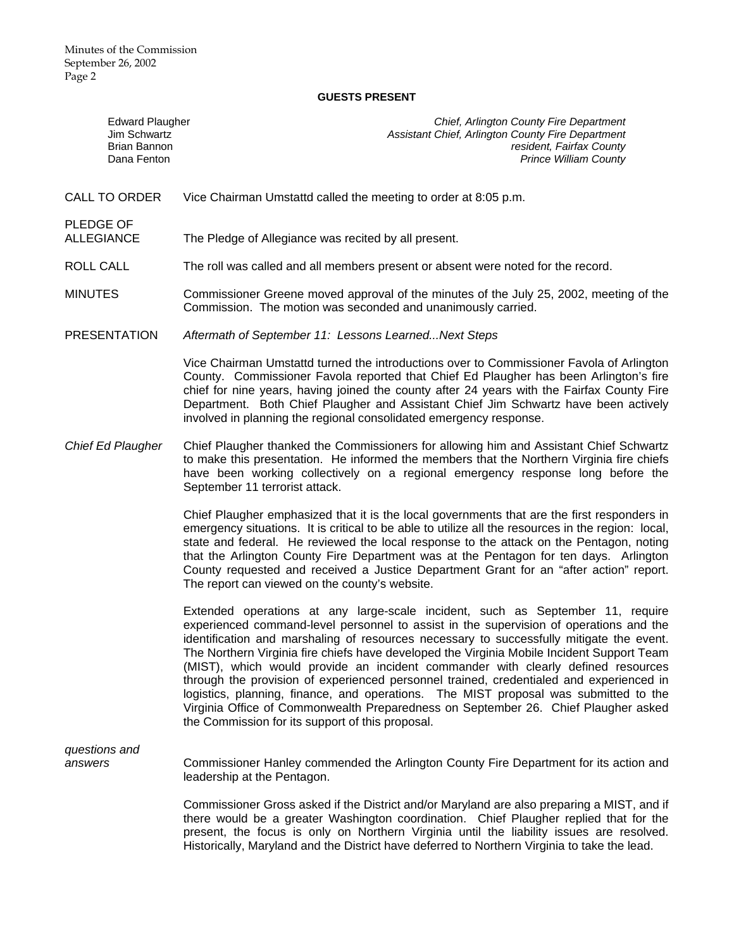## **GUESTS PRESENT**

| <b>Edward Plaugher</b><br>Jim Schwartz<br><b>Brian Bannon</b><br>Dana Fenton | Chief, Arlington County Fire Department<br>Assistant Chief, Arlington County Fire Department<br>resident, Fairfax County<br><b>Prince William County</b>                                                                                                                                                                                                                                                                                                                                                                                                                                                                                                                                                                                                                            |
|------------------------------------------------------------------------------|-------------------------------------------------------------------------------------------------------------------------------------------------------------------------------------------------------------------------------------------------------------------------------------------------------------------------------------------------------------------------------------------------------------------------------------------------------------------------------------------------------------------------------------------------------------------------------------------------------------------------------------------------------------------------------------------------------------------------------------------------------------------------------------|
| <b>CALL TO ORDER</b>                                                         | Vice Chairman Umstattd called the meeting to order at 8:05 p.m.                                                                                                                                                                                                                                                                                                                                                                                                                                                                                                                                                                                                                                                                                                                     |
| PLEDGE OF<br><b>ALLEGIANCE</b>                                               | The Pledge of Allegiance was recited by all present.                                                                                                                                                                                                                                                                                                                                                                                                                                                                                                                                                                                                                                                                                                                                |
| ROLL CALL                                                                    | The roll was called and all members present or absent were noted for the record.                                                                                                                                                                                                                                                                                                                                                                                                                                                                                                                                                                                                                                                                                                    |
| <b>MINUTES</b>                                                               | Commissioner Greene moved approval of the minutes of the July 25, 2002, meeting of the<br>Commission. The motion was seconded and unanimously carried.                                                                                                                                                                                                                                                                                                                                                                                                                                                                                                                                                                                                                              |
| <b>PRESENTATION</b>                                                          | Aftermath of September 11: Lessons Learned Next Steps                                                                                                                                                                                                                                                                                                                                                                                                                                                                                                                                                                                                                                                                                                                               |
|                                                                              | Vice Chairman Umstattd turned the introductions over to Commissioner Favola of Arlington<br>County. Commissioner Favola reported that Chief Ed Plaugher has been Arlington's fire<br>chief for nine years, having joined the county after 24 years with the Fairfax County Fire<br>Department. Both Chief Plaugher and Assistant Chief Jim Schwartz have been actively<br>involved in planning the regional consolidated emergency response.                                                                                                                                                                                                                                                                                                                                        |
| Chief Ed Plaugher                                                            | Chief Plaugher thanked the Commissioners for allowing him and Assistant Chief Schwartz<br>to make this presentation. He informed the members that the Northern Virginia fire chiefs<br>have been working collectively on a regional emergency response long before the<br>September 11 terrorist attack.                                                                                                                                                                                                                                                                                                                                                                                                                                                                            |
|                                                                              | Chief Plaugher emphasized that it is the local governments that are the first responders in<br>emergency situations. It is critical to be able to utilize all the resources in the region: local,<br>state and federal. He reviewed the local response to the attack on the Pentagon, noting<br>that the Arlington County Fire Department was at the Pentagon for ten days. Arlington<br>County requested and received a Justice Department Grant for an "after action" report.<br>The report can viewed on the county's website.                                                                                                                                                                                                                                                   |
|                                                                              | Extended operations at any large-scale incident, such as September 11, require<br>experienced command-level personnel to assist in the supervision of operations and the<br>identification and marshaling of resources necessary to successfully mitigate the event.<br>The Northern Virginia fire chiefs have developed the Virginia Mobile Incident Support Team<br>(MIST), which would provide an incident commander with clearly defined resources<br>through the provision of experienced personnel trained, credentialed and experienced in<br>logistics, planning, finance, and operations. The MIST proposal was submitted to the<br>Virginia Office of Commonwealth Preparedness on September 26. Chief Plaugher asked<br>the Commission for its support of this proposal. |
| questions and<br>answers                                                     | Commissioner Hanley commended the Arlington County Fire Department for its action and<br>leadership at the Pentagon.                                                                                                                                                                                                                                                                                                                                                                                                                                                                                                                                                                                                                                                                |
|                                                                              | Commissioner Gross asked if the District and/or Maryland are also preparing a MIST, and if<br>there would be a greater Washington coordination. Chief Plaugher replied that for the<br>present, the focus is only on Northern Virginia until the liability issues are resolved.<br>Historically, Maryland and the District have deferred to Northern Virginia to take the lead.                                                                                                                                                                                                                                                                                                                                                                                                     |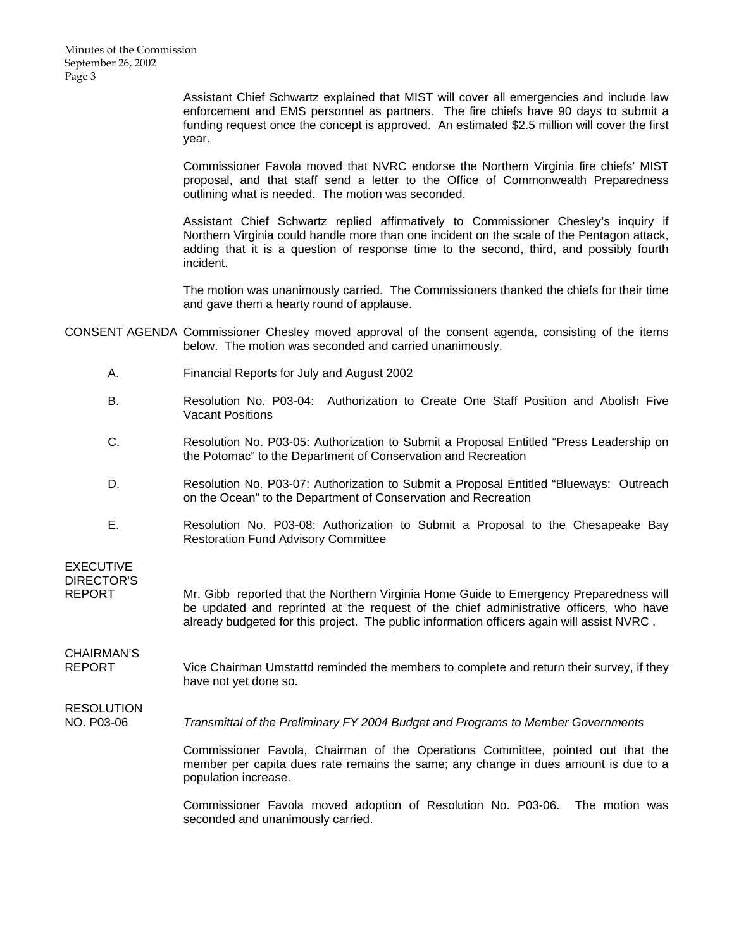Assistant Chief Schwartz explained that MIST will cover all emergencies and include law enforcement and EMS personnel as partners. The fire chiefs have 90 days to submit a funding request once the concept is approved. An estimated \$2.5 million will cover the first year.

Commissioner Favola moved that NVRC endorse the Northern Virginia fire chiefs' MIST proposal, and that staff send a letter to the Office of Commonwealth Preparedness outlining what is needed. The motion was seconded.

Assistant Chief Schwartz replied affirmatively to Commissioner Chesley's inquiry if Northern Virginia could handle more than one incident on the scale of the Pentagon attack, adding that it is a question of response time to the second, third, and possibly fourth incident.

The motion was unanimously carried. The Commissioners thanked the chiefs for their time and gave them a hearty round of applause.

- CONSENT AGENDA Commissioner Chesley moved approval of the consent agenda, consisting of the items below. The motion was seconded and carried unanimously.
	- A. Financial Reports for July and August 2002
	- B. Resolution No. P03-04: Authorization to Create One Staff Position and Abolish Five Vacant Positions
	- C. Resolution No. P03-05: Authorization to Submit a Proposal Entitled "Press Leadership on the Potomac" to the Department of Conservation and Recreation
	- D. Resolution No. P03-07: Authorization to Submit a Proposal Entitled "Blueways: Outreach on the Ocean" to the Department of Conservation and Recreation
	- E. Resolution No. P03-08: Authorization to Submit a Proposal to the Chesapeake Bay Restoration Fund Advisory Committee

EXECUTIVE DIRECTOR'S

REPORT Mr. Gibb reported that the Northern Virginia Home Guide to Emergency Preparedness will be updated and reprinted at the request of the chief administrative officers, who have already budgeted for this project. The public information officers again will assist NVRC .

CHAIRMAN'S REPORT Vice Chairman Umstattd reminded the members to complete and return their survey, if they have not yet done so.

## **RESOLUTION**

NO. P03-06 *Transmittal of the Preliminary FY 2004 Budget and Programs to Member Governments*

 Commissioner Favola, Chairman of the Operations Committee, pointed out that the member per capita dues rate remains the same; any change in dues amount is due to a population increase.

 Commissioner Favola moved adoption of Resolution No. P03-06. The motion was seconded and unanimously carried.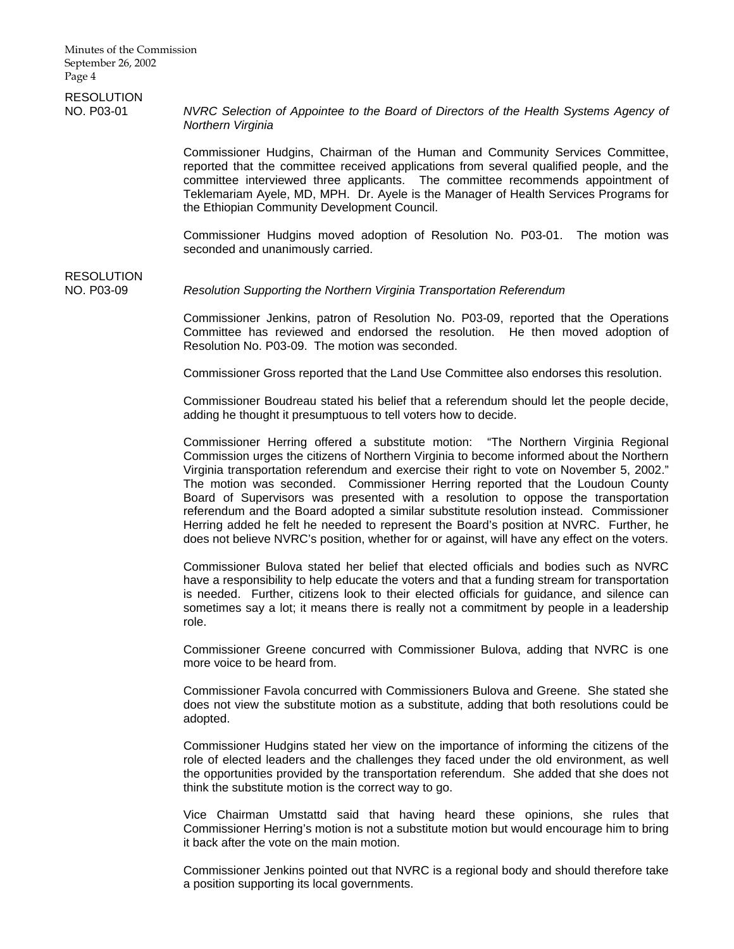# **RESOLUTION**

NO. P03-01 *NVRC Selection of Appointee to the Board of Directors of the Health Systems Agency of Northern Virginia*

> Commissioner Hudgins, Chairman of the Human and Community Services Committee, reported that the committee received applications from several qualified people, and the committee interviewed three applicants. The committee recommends appointment of Teklemariam Ayele, MD, MPH. Dr. Ayele is the Manager of Health Services Programs for the Ethiopian Community Development Council.

> Commissioner Hudgins moved adoption of Resolution No. P03-01. The motion was seconded and unanimously carried.

## RESOLUTION

## NO. P03-09 *Resolution Supporting the Northern Virginia Transportation Referendum*

 Commissioner Jenkins, patron of Resolution No. P03-09, reported that the Operations Committee has reviewed and endorsed the resolution. He then moved adoption of Resolution No. P03-09. The motion was seconded.

Commissioner Gross reported that the Land Use Committee also endorses this resolution.

 Commissioner Boudreau stated his belief that a referendum should let the people decide, adding he thought it presumptuous to tell voters how to decide.

 Commissioner Herring offered a substitute motion: "The Northern Virginia Regional Commission urges the citizens of Northern Virginia to become informed about the Northern Virginia transportation referendum and exercise their right to vote on November 5, 2002." The motion was seconded. Commissioner Herring reported that the Loudoun County Board of Supervisors was presented with a resolution to oppose the transportation referendum and the Board adopted a similar substitute resolution instead. Commissioner Herring added he felt he needed to represent the Board's position at NVRC. Further, he does not believe NVRC's position, whether for or against, will have any effect on the voters.

 Commissioner Bulova stated her belief that elected officials and bodies such as NVRC have a responsibility to help educate the voters and that a funding stream for transportation is needed. Further, citizens look to their elected officials for guidance, and silence can sometimes say a lot; it means there is really not a commitment by people in a leadership role.

 Commissioner Greene concurred with Commissioner Bulova, adding that NVRC is one more voice to be heard from.

 Commissioner Favola concurred with Commissioners Bulova and Greene. She stated she does not view the substitute motion as a substitute, adding that both resolutions could be adopted.

 Commissioner Hudgins stated her view on the importance of informing the citizens of the role of elected leaders and the challenges they faced under the old environment, as well the opportunities provided by the transportation referendum. She added that she does not think the substitute motion is the correct way to go.

 Vice Chairman Umstattd said that having heard these opinions, she rules that Commissioner Herring's motion is not a substitute motion but would encourage him to bring it back after the vote on the main motion.

 Commissioner Jenkins pointed out that NVRC is a regional body and should therefore take a position supporting its local governments.